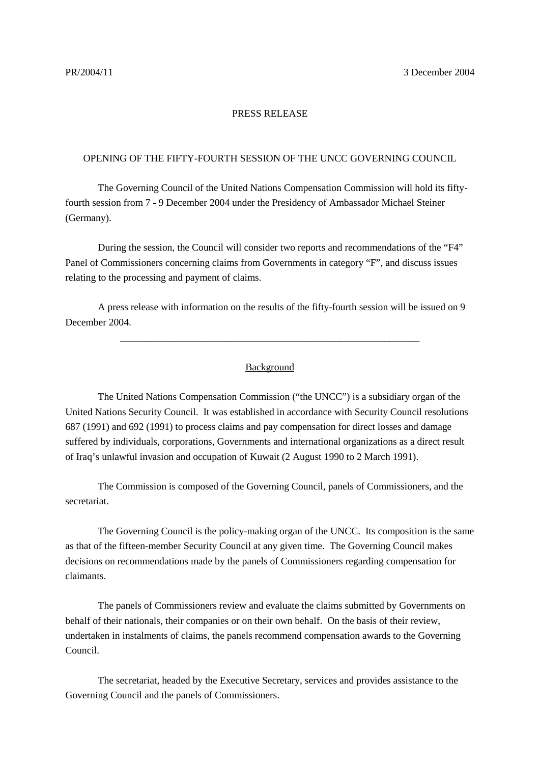## PRESS RELEASE

## OPENING OF THE FIFTY-FOURTH SESSION OF THE UNCC GOVERNING COUNCIL

The Governing Council of the United Nations Compensation Commission will hold its fiftyfourth session from 7 - 9 December 2004 under the Presidency of Ambassador Michael Steiner (Germany).

During the session, the Council will consider two reports and recommendations of the "F4" Panel of Commissioners concerning claims from Governments in category "F", and discuss issues relating to the processing and payment of claims.

A press release with information on the results of the fifty-fourth session will be issued on 9 December 2004.

## Background

\_\_\_\_\_\_\_\_\_\_\_\_\_\_\_\_\_\_\_\_\_\_\_\_\_\_\_\_\_\_\_\_\_\_\_\_\_\_\_\_\_\_\_\_\_\_\_\_\_\_\_\_\_\_\_\_\_\_\_\_

The United Nations Compensation Commission ("the UNCC") is a subsidiary organ of the United Nations Security Council. It was established in accordance with Security Council resolutions 687 (1991) and 692 (1991) to process claims and pay compensation for direct losses and damage suffered by individuals, corporations, Governments and international organizations as a direct result of Iraq's unlawful invasion and occupation of Kuwait (2 August 1990 to 2 March 1991).

The Commission is composed of the Governing Council, panels of Commissioners, and the secretariat.

The Governing Council is the policy-making organ of the UNCC. Its composition is the same as that of the fifteen-member Security Council at any given time. The Governing Council makes decisions on recommendations made by the panels of Commissioners regarding compensation for claimants.

The panels of Commissioners review and evaluate the claims submitted by Governments on behalf of their nationals, their companies or on their own behalf. On the basis of their review, undertaken in instalments of claims, the panels recommend compensation awards to the Governing Council.

The secretariat, headed by the Executive Secretary, services and provides assistance to the Governing Council and the panels of Commissioners.